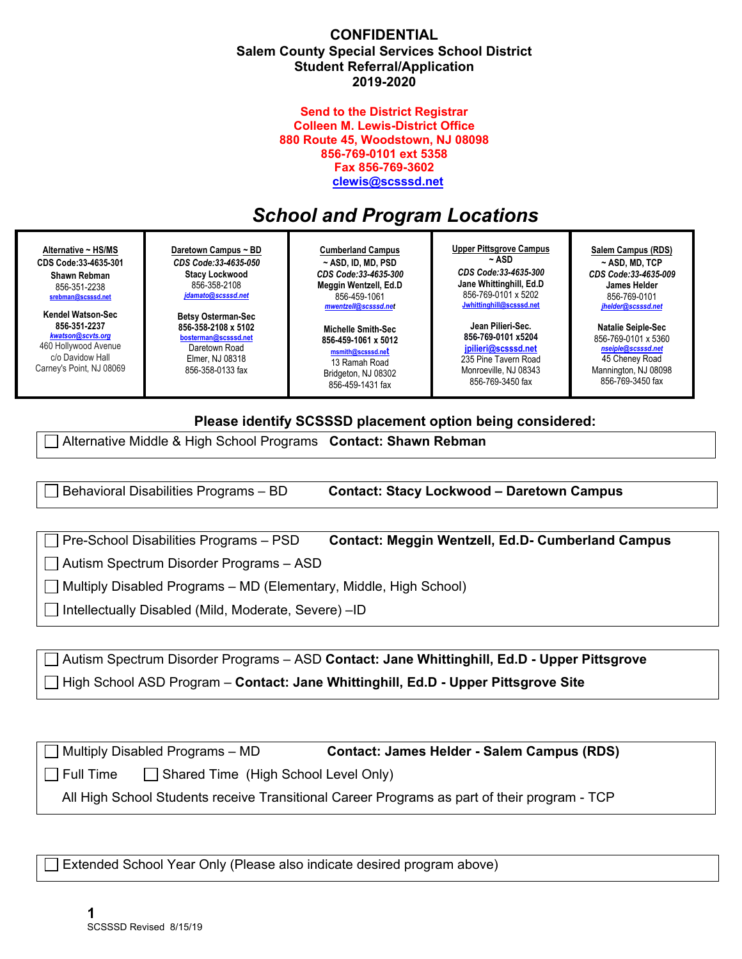#### **CONFIDENTIAL Salem County Special Services School District Student Referral/Application 2019-2020**

#### **Send to the District Registrar Colleen M. Lewis-District Office 880 Route 45, Woodstown, NJ 08098 856-769-0101 ext 5358 Fax 856-769-3602 clewis@scsssd.net**

# *School and Program Locations*

| Alternative ~ HS/MS<br>CDS Code: 33-4635-301<br>Shawn Rebman<br>856-351-2238<br>srebman@scsssd.net | Daretown Campus ~ BD<br>CDS Code: 33-4635-050<br><b>Stacy Lockwood</b><br>856-358-2108<br>jdamato@scsssd.net | <b>Cumberland Campus</b><br>$\sim$ ASD, ID, MD, PSD<br>CDS Code: 33-4635-300<br>Meggin Wentzell, Ed.D<br>856-459-1061<br>mwentzell@scsssd.net | <b>Upper Pittsgrove Campus</b><br>~ ASD<br>CDS Code: 33-4635-300<br>Jane Whittinghill, Ed.D.<br>856-769-0101 x 5202<br>Jwhittinghill@scsssd.net | Salem Campus (RDS)<br>$~\sim$ ASD. MD. TCP<br>CDS Code:33-4635-009<br>James Helder<br>856-769-0101<br>jhelder@scsssd.net |
|----------------------------------------------------------------------------------------------------|--------------------------------------------------------------------------------------------------------------|-----------------------------------------------------------------------------------------------------------------------------------------------|-------------------------------------------------------------------------------------------------------------------------------------------------|--------------------------------------------------------------------------------------------------------------------------|
| Kendel Watson-Sec                                                                                  | <b>Betsy Osterman-Sec</b>                                                                                    | <b>Michelle Smith-Sec</b>                                                                                                                     | Jean Pilieri Sec.                                                                                                                               | <b>Natalie Seiple-Sec</b>                                                                                                |
| 856-351-2237                                                                                       | 856-358-2108 x 5102                                                                                          | 856-459-1061 x 5012                                                                                                                           | 856-769-0101 x5204                                                                                                                              | 856-769-0101 x 5360                                                                                                      |
| kwatson@scvts.org                                                                                  | bosterman@scsssd.net                                                                                         | msmith@scsssd.net                                                                                                                             | ipilieri@scsssd.net                                                                                                                             | nseiple@scsssd.net                                                                                                       |
| 460 Hollywood Avenue                                                                               | Daretown Road                                                                                                | 13 Ramah Road                                                                                                                                 | 235 Pine Tavern Road                                                                                                                            | 45 Cheney Road                                                                                                           |
| c/o Davidow Hall                                                                                   | Elmer, NJ 08318                                                                                              | Bridgeton, NJ 08302                                                                                                                           | Monroeville, NJ 08343                                                                                                                           | Mannington, NJ 08098                                                                                                     |
| Carney's Point, NJ 08069                                                                           | 856-358-0133 fax                                                                                             | $QEC$ $AED$ $AAO$ $AOD$                                                                                                                       | 856-769-3450 fax                                                                                                                                | 856-769-3450 fax                                                                                                         |

856-459-1431 fax

### **Please identify SCSSSD placement option being considered:**

Alternative Middle & High School Programs **Contact: Shawn Rebman**

Behavioral Disabilities Programs – BD **Contact: Stacy Lockwood – Daretown Campus**

Pre-School Disabilities Programs – PSD **Contact: Meggin Wentzell, Ed.D- Cumberland Campus**

Autism Spectrum Disorder Programs – ASD

 $\Box$  Multiply Disabled Programs – MD (Elementary, Middle, High School)

Intellectually Disabled (Mild, Moderate, Severe) –ID

 Autism Spectrum Disorder Programs – ASD **Contact: Jane Whittinghill, Ed.D - Upper Pittsgrove**  High School ASD Program – **Contact: Jane Whittinghill, Ed.D - Upper Pittsgrove Site** 

 Multiply Disabled Programs – MD **Contact: James Helder - Salem Campus (RDS)**  $\Box$  Full Time  $\Box$  Shared Time (High School Level Only)

All High School Students receive Transitional Career Programs as part of their program - TCP

Extended School Year Only (Please also indicate desired program above)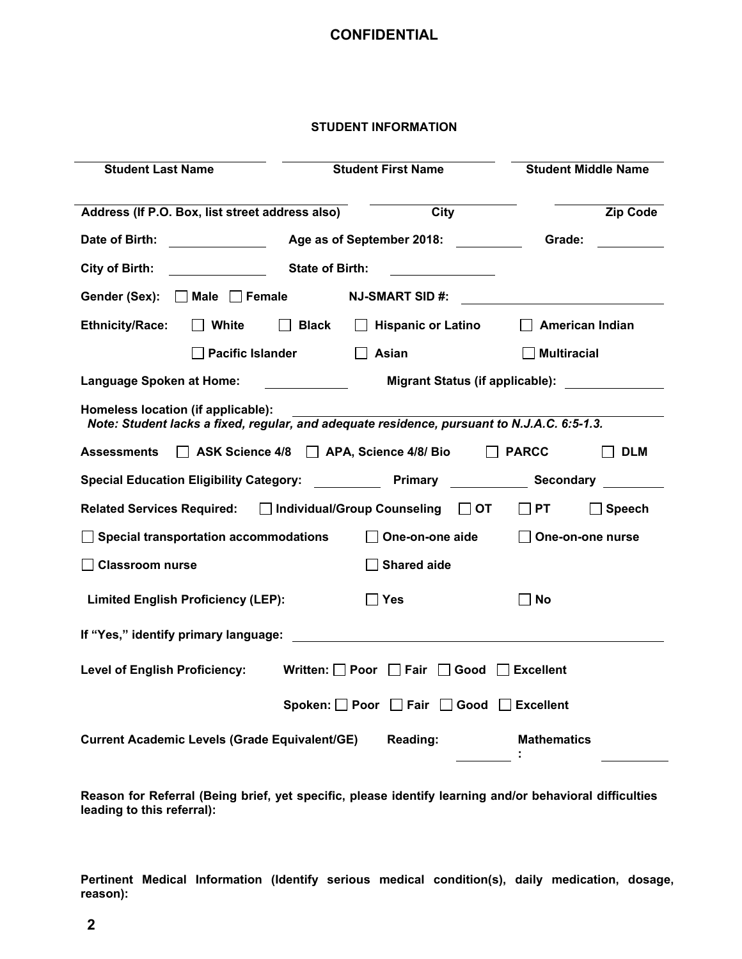#### **STUDENT INFORMATION**

| <b>Student Last Name</b>                                                                                                                                                                                                       |                         | <b>Student First Name</b> | <b>Student Middle Name</b>                       |  |  |
|--------------------------------------------------------------------------------------------------------------------------------------------------------------------------------------------------------------------------------|-------------------------|---------------------------|--------------------------------------------------|--|--|
|                                                                                                                                                                                                                                |                         |                           |                                                  |  |  |
| Address (If P.O. Box, list street address also)                                                                                                                                                                                |                         | City                      | <b>Zip Code</b>                                  |  |  |
|                                                                                                                                                                                                                                |                         |                           |                                                  |  |  |
| <b>City of Birth:</b>                                                                                                                                                                                                          | <b>State of Birth:</b>  |                           |                                                  |  |  |
| Gender (Sex): Male Female NJ-SMART SID #:                                                                                                                                                                                      |                         |                           |                                                  |  |  |
| <b>Ethnicity/Race:</b><br>$\Box$ White                                                                                                                                                                                         | $\Box$ Black            |                           | $\Box$ Hispanic or Latino $\Box$ American Indian |  |  |
|                                                                                                                                                                                                                                | <b>Pacific Islander</b> | $\Box$ Asian              | $\Box$ Multiracial                               |  |  |
| <b>Language Spoken at Home:</b>                                                                                                                                                                                                |                         |                           | Migrant Status (if applicable):                  |  |  |
| Homeless location (if applicable):<br>Note: Student lacks a fixed, regular, and adequate residence, pursuant to N.J.A.C. 6:5-1.3.                                                                                              |                         |                           |                                                  |  |  |
| ASK Science 4/8 APA, Science 4/8/ Bio<br>$\perp$<br><b>PARCC</b><br><b>DLM</b><br>Assessments                                                                                                                                  |                         |                           |                                                  |  |  |
| Special Education Eligibility Category: The Primary Chemical Secondary Chemical Secondary                                                                                                                                      |                         |                           |                                                  |  |  |
| Related Services Required: □ Individual/Group Counseling □ OT □ PT<br>$\Box$ Speech                                                                                                                                            |                         |                           |                                                  |  |  |
| $\Box$ Special transportation accommodations<br>$\Box$ One-on-one aide<br>$\Box$ One-on-one nurse                                                                                                                              |                         |                           |                                                  |  |  |
| <b>Classroom nurse</b><br><b>Shared aide</b>                                                                                                                                                                                   |                         |                           |                                                  |  |  |
| <b>Limited English Proficiency (LEP):</b>                                                                                                                                                                                      |                         | $\Box$ Yes                | <b>No</b>                                        |  |  |
| If "Yes," identify primary language: The Contract of the Contract of the Contract of the Contract of the Contract of the Contract of the Contract of the Contract of the Contract of the Contract of the Contract of the Contr |                         |                           |                                                  |  |  |
| Level of English Proficiency: Written: D Poor D Fair D Good D Excellent                                                                                                                                                        |                         |                           |                                                  |  |  |
| Spoken: Poor Fair Good Excellent                                                                                                                                                                                               |                         |                           |                                                  |  |  |
| <b>Current Academic Levels (Grade Equivalent/GE)</b>                                                                                                                                                                           |                         | Reading:                  | <b>Mathematics</b>                               |  |  |

**Reason for Referral (Being brief, yet specific, please identify learning and/or behavioral difficulties leading to this referral):** 

**Pertinent Medical Information (Identify serious medical condition(s), daily medication, dosage, reason):**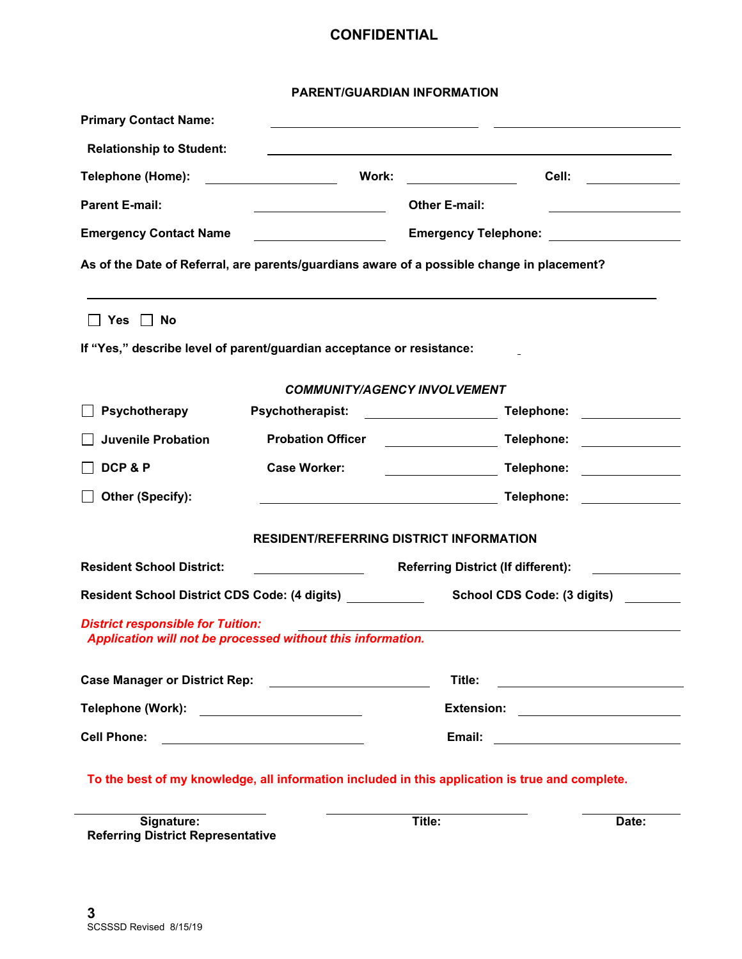#### **PARENT/GUARDIAN INFORMATION**

| <b>Primary Contact Name:</b>                                                                                                                |                                                |                                                           |                                                                                  |  |  |
|---------------------------------------------------------------------------------------------------------------------------------------------|------------------------------------------------|-----------------------------------------------------------|----------------------------------------------------------------------------------|--|--|
| <b>Relationship to Student:</b>                                                                                                             |                                                |                                                           | ,我们也不会有什么。""我们的人,我们也不会有什么?""我们的人,我们也不会有什么?""我们的人,我们也不会有什么?""我们的人,我们也不会有什么?""我们的人 |  |  |
| Telephone (Home):                                                                                                                           | Work:                                          |                                                           | Cell:<br><u> 1999 - Jan Barnett, politik e</u> ta p                              |  |  |
| <b>Parent E-mail:</b>                                                                                                                       |                                                | <b>Other E-mail:</b>                                      |                                                                                  |  |  |
| <b>Emergency Contact Name</b>                                                                                                               |                                                | Emergency Telephone: _____________________                |                                                                                  |  |  |
| As of the Date of Referral, are parents/guardians aware of a possible change in placement?                                                  |                                                |                                                           |                                                                                  |  |  |
| $\Box$ Yes $\Box$ No                                                                                                                        |                                                |                                                           |                                                                                  |  |  |
| If "Yes," describe level of parent/guardian acceptance or resistance:                                                                       |                                                |                                                           |                                                                                  |  |  |
| <b>COMMUNITY/AGENCY INVOLVEMENT</b>                                                                                                         |                                                |                                                           |                                                                                  |  |  |
| Psychotherapy                                                                                                                               | <b>Psychotherapist:</b>                        |                                                           | Telephone:<br><u> 1989 - Jan Salaman Sala</u>                                    |  |  |
| <b>Juvenile Probation</b>                                                                                                                   | <b>Probation Officer</b>                       |                                                           | Telephone: ______________                                                        |  |  |
| DCP&P                                                                                                                                       | <b>Case Worker:</b>                            |                                                           | Telephone:                                                                       |  |  |
| Other (Specify):                                                                                                                            |                                                |                                                           | Telephone: ______________                                                        |  |  |
|                                                                                                                                             | <b>RESIDENT/REFERRING DISTRICT INFORMATION</b> |                                                           |                                                                                  |  |  |
| <b>Resident School District:</b>                                                                                                            |                                                | <b>Referring District (If different):</b>                 |                                                                                  |  |  |
| <b>Resident School District CDS Code: (4 digits)</b>                                                                                        |                                                |                                                           | School CDS Code: (3 digits)                                                      |  |  |
| <b>District responsible for Tuition:</b><br>Application will not be processed without this information.                                     |                                                |                                                           |                                                                                  |  |  |
| <b>Case Manager or District Rep:</b>                                                                                                        |                                                | Title:                                                    | <u> 1989 - John Stein, mars and de Brazilian (b. 1989)</u>                       |  |  |
| Telephone (Work):<br><u> Terminal de la propincia de la propincia de la propincia de la propincia de la propincia de la propincia de l</u>  |                                                | <b>Extension:</b>                                         |                                                                                  |  |  |
| <b>Cell Phone:</b><br><u> 1989 - Johann Barn, mars ann an t-Amhair an t-Amhair an t-Amhair an t-Amhair an t-Amhair an t-Amhair an t-Amh</u> |                                                | Email:<br><u> 1989 - Johann Barn, mars ar breis an t-</u> |                                                                                  |  |  |
| To the best of my knowledge, all information included in this application is true and complete.                                             |                                                |                                                           |                                                                                  |  |  |

**Signature: Title: Date: Referring District Representative**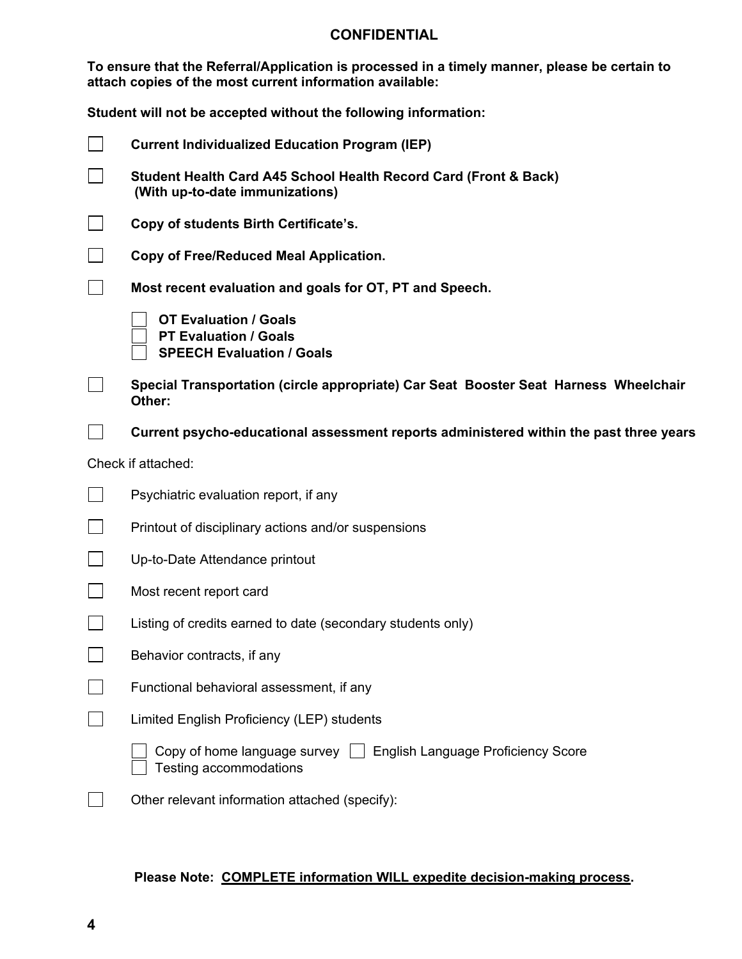**To ensure that the Referral/Application is processed in a timely manner, please be certain to attach copies of the most current information available:**

|        | <b>Current Individualized Education Program (IEP)</b>                                               |  |  |  |
|--------|-----------------------------------------------------------------------------------------------------|--|--|--|
|        | Student Health Card A45 School Health Record Card (Front & Back)<br>(With up-to-date immunizations) |  |  |  |
|        | Copy of students Birth Certificate's.                                                               |  |  |  |
|        | Copy of Free/Reduced Meal Application.                                                              |  |  |  |
|        | Most recent evaluation and goals for OT, PT and Speech.                                             |  |  |  |
|        | <b>OT Evaluation / Goals</b><br><b>PT Evaluation / Goals</b><br><b>SPEECH Evaluation / Goals</b>    |  |  |  |
|        | Special Transportation (circle appropriate) Car Seat Booster Seat Harness Wheelchair<br>Other:      |  |  |  |
|        | Current psycho-educational assessment reports administered within the past three years              |  |  |  |
|        | Check if attached:                                                                                  |  |  |  |
|        | Psychiatric evaluation report, if any                                                               |  |  |  |
| $\Box$ | Printout of disciplinary actions and/or suspensions                                                 |  |  |  |
|        | Up-to-Date Attendance printout                                                                      |  |  |  |
| $\Box$ | Most recent report card                                                                             |  |  |  |
|        | Listing of credits earned to date (secondary students only)                                         |  |  |  |
|        | Behavior contracts, if any                                                                          |  |  |  |
|        | Functional behavioral assessment, if any                                                            |  |  |  |
|        | Limited English Proficiency (LEP) students                                                          |  |  |  |
|        | Copy of home language survey   English Language Proficiency Score<br>Testing accommodations         |  |  |  |
|        | Other relevant information attached (specify):                                                      |  |  |  |

# **Please Note: COMPLETE information WILL expedite decision-making process.**